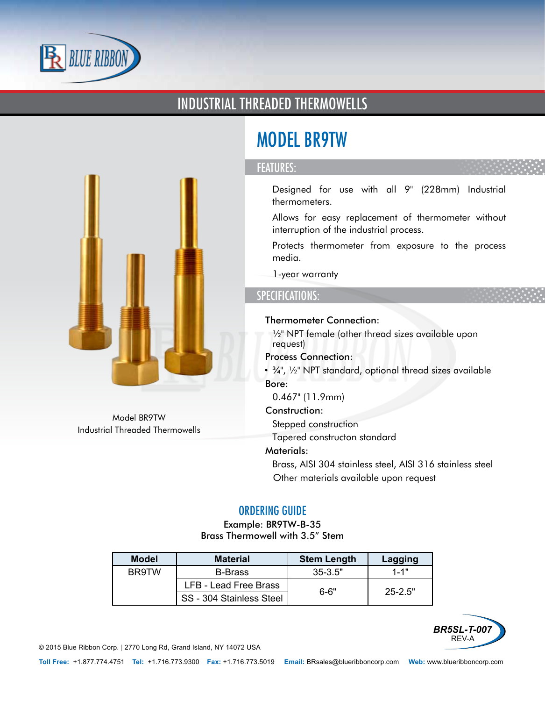

### INDUSTRIAL THREADED THERMOWELLS



Model BR9TW Industrial Threaded Thermowells

# MODEL BR9TW

#### FEATURES:

- Designed for use with all 9" (228mm) Industrial thermometers.
- Allows for easy replacement of thermometer without interruption of the industrial process.
- Protects thermometer from exposure to the process media.
- 1-year warranty

#### SPECIFICATIONS:

- Thermometer Connection:
	- ½" NPT female (other thread sizes available upon request)
- Process Connection:
	- ¾", ½" NPT standard, optional thread sizes available
- Bore:
	- 0.467" (11.9mm)
- Construction:
	- Stepped construction
	- Tapered constructon standard
- Materials:
	- Brass, AISI 304 stainless steel, AISI 316 stainless steel
	- Other materials available upon request

#### ORDERING GUIDE

Example: BR9TW-B-35 Brass Thermowell with 3.5" Stem

| <b>Model</b> | <b>Material</b>              | <b>Stem Length</b> | Lagging     |  |
|--------------|------------------------------|--------------------|-------------|--|
| BR9TW        | <b>B-Brass</b>               | $35 - 3.5"$        | $1 - 1"$    |  |
|              | <b>LFB - Lead Free Brass</b> | 6-6"               | $25 - 2.5"$ |  |
|              | SS - 304 Stainless Steel     |                    |             |  |



© 2015 Blue Ribbon Corp. *<sup>|</sup>* 2770 Long Rd, Grand Island, NY 14072 USA